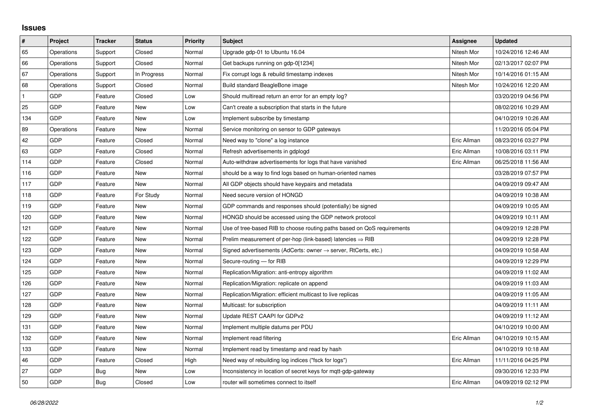## **Issues**

| $\vert$ #    | Project    | <b>Tracker</b> | <b>Status</b> | <b>Priority</b> | <b>Subject</b>                                                             | Assignee    | <b>Updated</b>      |
|--------------|------------|----------------|---------------|-----------------|----------------------------------------------------------------------------|-------------|---------------------|
| 65           | Operations | Support        | Closed        | Normal          | Upgrade gdp-01 to Ubuntu 16.04                                             | Nitesh Mor  | 10/24/2016 12:46 AM |
| 66           | Operations | Support        | Closed        | Normal          | Get backups running on gdp-0[1234]                                         | Nitesh Mor  | 02/13/2017 02:07 PM |
| 67           | Operations | Support        | In Progress   | Normal          | Fix corrupt logs & rebuild timestamp indexes                               | Nitesh Mor  | 10/14/2016 01:15 AM |
| 68           | Operations | Support        | Closed        | Normal          | Build standard BeagleBone image                                            | Nitesh Mor  | 10/24/2016 12:20 AM |
| $\mathbf{1}$ | GDP        | Feature        | Closed        | Low             | Should multiread return an error for an empty log?                         |             | 03/20/2019 04:56 PM |
| 25           | GDP        | Feature        | New           | Low             | Can't create a subscription that starts in the future                      |             | 08/02/2016 10:29 AM |
| 134          | GDP        | Feature        | New           | Low             | Implement subscribe by timestamp                                           |             | 04/10/2019 10:26 AM |
| 89           | Operations | Feature        | New           | Normal          | Service monitoring on sensor to GDP gateways                               |             | 11/20/2016 05:04 PM |
| 42           | GDP        | Feature        | Closed        | Normal          | Need way to "clone" a log instance                                         | Eric Allman | 08/23/2016 03:27 PM |
| 63           | GDP        | Feature        | Closed        | Normal          | Refresh advertisements in gdplogd                                          | Eric Allman | 10/08/2016 03:11 PM |
| 114          | GDP        | Feature        | Closed        | Normal          | Auto-withdraw advertisements for logs that have vanished                   | Eric Allman | 06/25/2018 11:56 AM |
| 116          | GDP        | Feature        | New           | Normal          | should be a way to find logs based on human-oriented names                 |             | 03/28/2019 07:57 PM |
| 117          | GDP        | Feature        | New           | Normal          | All GDP objects should have keypairs and metadata                          |             | 04/09/2019 09:47 AM |
| 118          | GDP        | Feature        | For Study     | Normal          | Need secure version of HONGD                                               |             | 04/09/2019 10:38 AM |
| 119          | GDP        | Feature        | New           | Normal          | GDP commands and responses should (potentially) be signed                  |             | 04/09/2019 10:05 AM |
| 120          | GDP        | Feature        | <b>New</b>    | Normal          | HONGD should be accessed using the GDP network protocol                    |             | 04/09/2019 10:11 AM |
| 121          | GDP        | Feature        | New           | Normal          | Use of tree-based RIB to choose routing paths based on QoS requirements    |             | 04/09/2019 12:28 PM |
| 122          | GDP        | Feature        | New           | Normal          | Prelim measurement of per-hop (link-based) latencies $\Rightarrow$ RIB     |             | 04/09/2019 12:28 PM |
| 123          | GDP        | Feature        | New           | Normal          | Signed advertisements (AdCerts: owner $\rightarrow$ server, RtCerts, etc.) |             | 04/09/2019 10:58 AM |
| 124          | GDP        | Feature        | <b>New</b>    | Normal          | Secure-routing - for RIB                                                   |             | 04/09/2019 12:29 PM |
| 125          | GDP        | Feature        | New           | Normal          | Replication/Migration: anti-entropy algorithm                              |             | 04/09/2019 11:02 AM |
| 126          | GDP        | Feature        | New           | Normal          | Replication/Migration: replicate on append                                 |             | 04/09/2019 11:03 AM |
| 127          | GDP        | Feature        | New           | Normal          | Replication/Migration: efficient multicast to live replicas                |             | 04/09/2019 11:05 AM |
| 128          | GDP        | Feature        | New           | Normal          | Multicast: for subscription                                                |             | 04/09/2019 11:11 AM |
| 129          | GDP        | Feature        | New           | Normal          | Update REST CAAPI for GDPv2                                                |             | 04/09/2019 11:12 AM |
| 131          | GDP        | Feature        | New           | Normal          | Implement multiple datums per PDU                                          |             | 04/10/2019 10:00 AM |
| 132          | GDP        | Feature        | <b>New</b>    | Normal          | Implement read filtering                                                   | Eric Allman | 04/10/2019 10:15 AM |
| 133          | GDP        | Feature        | New           | Normal          | Implement read by timestamp and read by hash                               |             | 04/10/2019 10:18 AM |
| 46           | GDP        | Feature        | Closed        | High            | Need way of rebuilding log indices ("fsck for logs")                       | Eric Allman | 11/11/2016 04:25 PM |
| 27           | GDP        | Bug            | New           | Low             | Inconsistency in location of secret keys for mqtt-gdp-gateway              |             | 09/30/2016 12:33 PM |
| 50           | GDP        | Bug            | Closed        | Low             | router will sometimes connect to itself                                    | Eric Allman | 04/09/2019 02:12 PM |